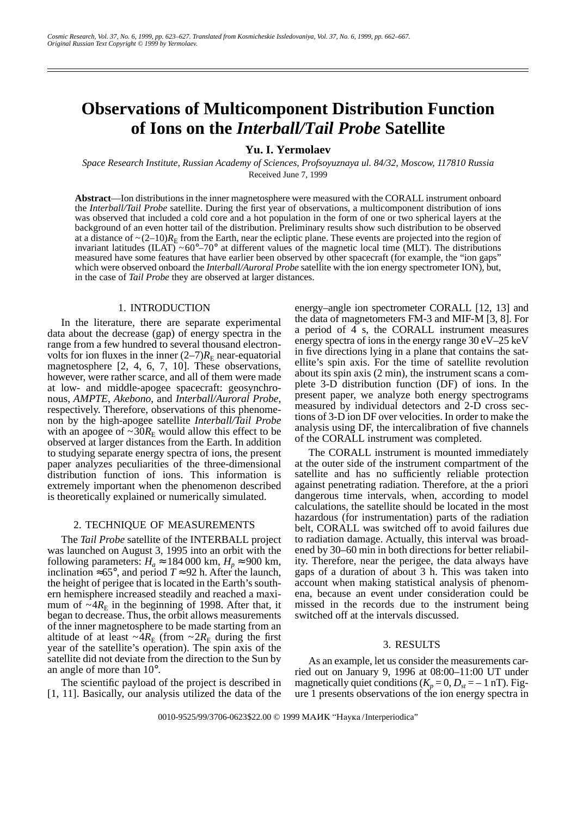# **Observations of Multicomponent Distribution Function of Ions on the** *Interball/Tail Probe* **Satellite**

# **Yu. I. Yermolaev**

*Space Research Institute, Russian Academy of Sciences, Profsoyuznaya ul. 84/32, Moscow, 117810 Russia* Received June 7, 1999

**Abstract**—Ion distributions in the inner magnetosphere were measured with the CORALL instrument onboard the *Interball/Tail Probe* satellite. During the first year of observations, a multicomponent distribution of ions was observed that included a cold core and a hot population in the form of one or two spherical layers at the background of an even hotter tail of the distribution. Preliminary results show such distribution to be observed at a distance of  $\sim$ (2–10) $R<sub>E</sub>$  from the Earth, near the ecliptic plane. These events are projected into the region of invariant latitudes  $(ILAT) ~ 60^{\circ} - 70^{\circ}$  at different values of the magnetic local time (MLT). The distributions measured have some features that have earlier been observed by other spacecraft (for example, the "ion gaps" which were observed onboard the *Interball/Auroral Probe* satellite with the ion energy spectrometer ION), but, in the case of *Tail Probe* they are observed at larger distances.

#### 1. INTRODUCTION

In the literature, there are separate experimental data about the decrease (gap) of energy spectra in the range from a few hundred to several thousand electronvolts for ion fluxes in the inner  $(2-7)R<sub>E</sub>$  near-equatorial magnetosphere [2, 4, 6, 7, 10]. These observations, however, were rather scarce, and all of them were made at low- and middle-apogee spacecraft: geosynchronous, *AMPTE*, *Akebono*, and *Interball/Auroral Probe*, respectively. Therefore, observations of this phenomenon by the high-apogee satellite *Interball/Tail Probe* with an apogee of  $\sim 30R_E$  would allow this effect to be observed at larger distances from the Earth. In addition to studying separate energy spectra of ions, the present paper analyzes peculiarities of the three-dimensional distribution function of ions. This information is extremely important when the phenomenon described is theoretically explained or numerically simulated.

## 2. TECHNIQUE OF MEASUREMENTS

The *Tail Probe* satellite of the INTERBALL project was launched on August 3, 1995 into an orbit with the following parameters:  $H_a \approx 184\,000$  km,  $H_p \approx 900$  km, inclination ≈65°, and period  $T \approx 92$  h. After the launch, the height of perigee that is located in the Earth's southern hemisphere increased steadily and reached a maximum of  $\sim 4R_E$  in the beginning of 1998. After that, it began to decrease. Thus, the orbit allows measurements of the inner magnetosphere to be made starting from an altitude of at least  $\sim 4R_E$  (from  $\sim 2R_E$  during the first year of the satellite's operation). The spin axis of the satellite did not deviate from the direction to the Sun by an angle of more than 10°.

The scientific payload of the project is described in [1, 11]. Basically, our analysis utilized the data of the

energy–angle ion spectrometer CORALL [12, 13] and the data of magnetometers FM-3 and MIF-M [3, 8]. For a period of  $\overline{4}$  s, the CORALL instrument measures energy spectra of ions in the energy range 30 eV–25 keV in five directions lying in a plane that contains the satellite's spin axis. For the time of satellite revolution about its spin axis (2 min), the instrument scans a complete 3-D distribution function (DF) of ions. In the present paper, we analyze both energy spectrograms measured by individual detectors and 2-D cross sections of 3-D ion DF over velocities. In order to make the analysis using DF, the intercalibration of five channels of the CORALL instrument was completed.

The CORALL instrument is mounted immediately at the outer side of the instrument compartment of the satellite and has no sufficiently reliable protection against penetrating radiation. Therefore, at the a priori dangerous time intervals, when, according to model calculations, the satellite should be located in the most hazardous (for instrumentation) parts of the radiation belt, CORALL was switched off to avoid failures due to radiation damage. Actually, this interval was broadened by 30–60 min in both directions for better reliability. Therefore, near the perigee, the data always have gaps of a duration of about 3 h. This was taken into account when making statistical analysis of phenomena, because an event under consideration could be missed in the records due to the instrument being switched off at the intervals discussed.

#### 3. RESULTS

As an example, let us consider the measurements carried out on January 9, 1996 at 08:00–11:00 UT under magnetically quiet conditions  $(K_p = 0, D_{st} = -1 \text{ nT})$ . Figure 1 presents observations of the ion energy spectra in

0010-9525/99/3706-0623\$22.00 © 1999 MAИK "Hayka /Interperiodica"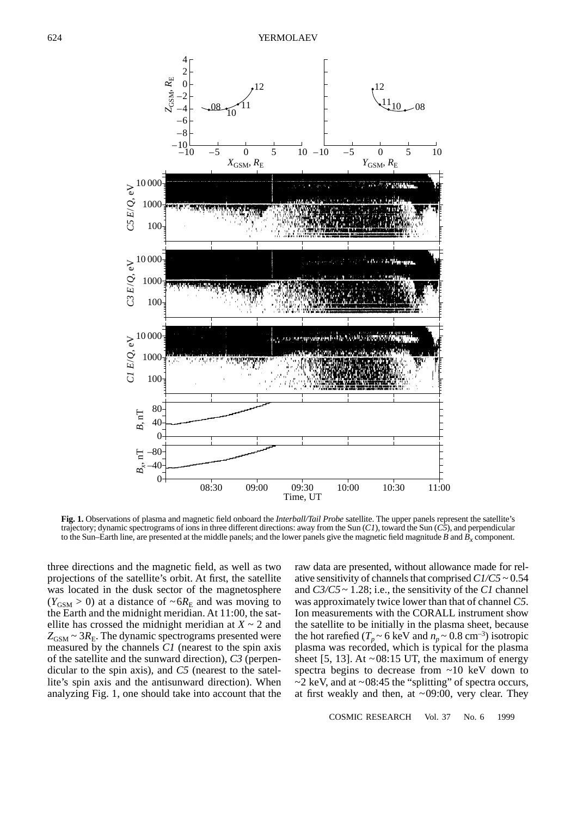

**Fig. 1.** Observations of plasma and magnetic field onboard the *Interball/Tail Probe* satellite. The upper panels represent the satellite's trajectory; dynamic spectrograms of ions in three different directions: away from the Sun (*C1*), toward the Sun (*C5*), and perpendicular to the Sun–Earth line, are presented at the middle panels; and the lower panels give the magnetic field magnitude *B* and  $\vec{B}_r$  component.

three directions and the magnetic field, as well as two projections of the satellite's orbit. At first, the satellite was located in the dusk sector of the magnetosphere  $(Y_{\text{GSM}} > 0)$  at a distance of  $\sim 6R_E$  and was moving to the Earth and the midnight meridian. At 11:00, the satellite has crossed the midnight meridian at  $X \sim 2$  and  $Z_{\text{GSM}} \sim 3R_{\text{E}}$ . The dynamic spectrograms presented were measured by the channels *C1* (nearest to the spin axis of the satellite and the sunward direction), *C3* (perpendicular to the spin axis), and *C5* (nearest to the satellite's spin axis and the antisunward direction). When analyzing Fig. 1, one should take into account that the raw data are presented, without allowance made for relative sensitivity of channels that comprised *C1/C5* ~ 0.54 and *C3/C5* ~ 1.28; i.e., the sensitivity of the *C1* channel was approximately twice lower than that of channel *C5*. Ion measurements with the CORALL instrument show the satellite to be initially in the plasma sheet, because the hot rarefied ( $T_p \sim 6 \text{ keV}$  and  $n_p \sim 0.8 \text{ cm}^{-3}$ ) isotropic plasma was recorded, which is typical for the plasma sheet [5, 13]. At  $\sim 08:15$  UT, the maximum of energy spectra begins to decrease from ~10 keV down to  $\sim$ 2 keV, and at  $\sim$  08:45 the "splitting" of spectra occurs, at first weakly and then, at  $\sim 09:00$ , very clear. They

COSMIC RESEARCH Vol. 37 No. 6 1999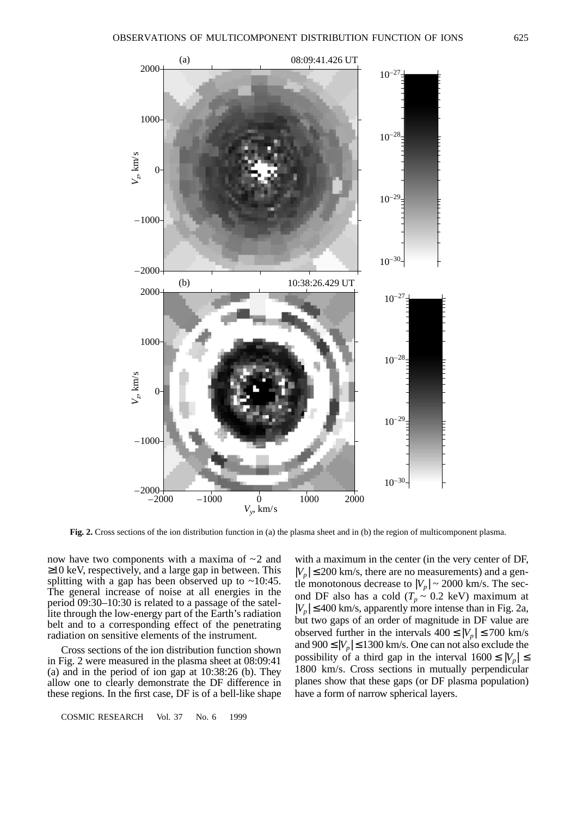

**Fig. 2.** Cross sections of the ion distribution function in (a) the plasma sheet and in (b) the region of multicomponent plasma.

now have two components with a maxima of  $\sim$ 2 and ≥10 keV, respectively, and a large gap in between. This splitting with a gap has been observed up to  $\sim 10:45$ . The general increase of noise at all energies in the period 09:30–10:30 is related to a passage of the satellite through the low-energy part of the Earth's radiation belt and to a corresponding effect of the penetrating radiation on sensitive elements of the instrument.

Cross sections of the ion distribution function shown in Fig. 2 were measured in the plasma sheet at 08:09:41 (a) and in the period of ion gap at 10:38:26 (b). They allow one to clearly demonstrate the DF difference in these regions. In the first case, DF is of a bell-like shape

COSMIC RESEARCH Vol. 37 No. 6 1999

with a maximum in the center (in the very center of DF,  $|V_p| \leq 200$  km/s, there are no measurements) and a genthe monotonous decrease to  $|V_p| \sim 2000$  km/s. The second DF also has a cold  $(T_p \sim 0.2 \text{ keV})$  maximum at  $|V_p| \leq 400$  km/s, apparently more intense than in Fig. 2a, but two gaps of an order of magnitude in DF value are observed further in the intervals  $400 \le |V_p| \le 700$  km/s and  $900 \le |V_p| \le 1300$  km/s. One can not also exclude the possibility of a third gap in the interval  $1600 \leq |V_p| \leq$ 1800 km/s. Cross sections in mutually perpendicular planes show that these gaps (or DF plasma population) have a form of narrow spherical layers.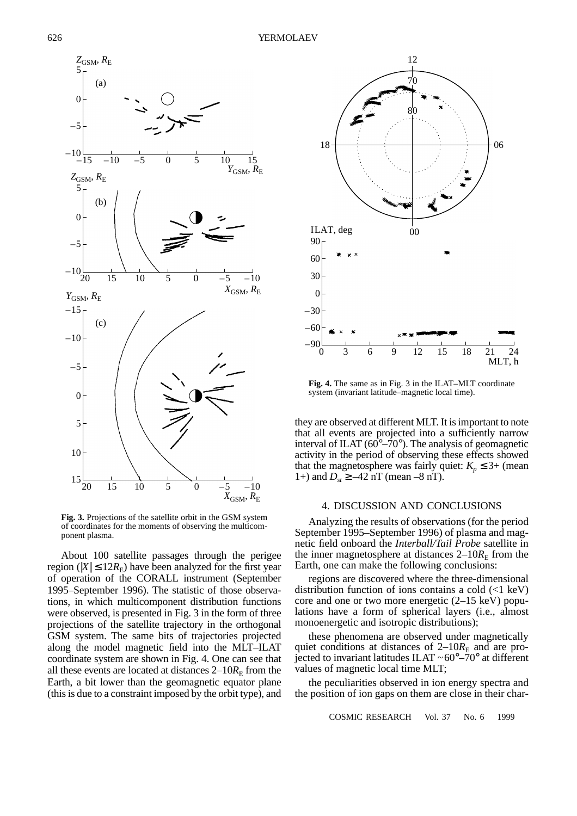

**Fig. 3.** Projections of the satellite orbit in the GSM system of coordinates for the moments of observing the multicomponent plasma.

About 100 satellite passages through the perigee region ( $|X| \leq 12R_E$ ) have been analyzed for the first year of operation of the CORALL instrument (September 1995–September 1996). The statistic of those observations, in which multicomponent distribution functions were observed, is presented in Fig. 3 in the form of three projections of the satellite trajectory in the orthogonal GSM system. The same bits of trajectories projected along the model magnetic field into the MLT–ILAT coordinate system are shown in Fig. 4. One can see that all these events are located at distances  $2-10R<sub>E</sub>$  from the Earth, a bit lower than the geomagnetic equator plane (this is due to a constraint imposed by the orbit type), and



**Fig. 4.** The same as in Fig. 3 in the ILAT–MLT coordinate system (invariant latitude–magnetic local time).

they are observed at different MLT. It is important to note that all events are projected into a sufficiently narrow interval of ILAT ( $60^{\circ} - 70^{\circ}$ ). The analysis of geomagnetic activity in the period of observing these effects showed that the magnetosphere was fairly quiet:  $K_p \leq 3+$  (mean 1+) and  $D_{st} \ge -42$  nT (mean -8 nT).

### 4. DISCUSSION AND CONCLUSIONS

Analyzing the results of observations (for the period September 1995–September 1996) of plasma and magnetic field onboard the *Interball/Tail Probe* satellite in the inner magnetosphere at distances  $2-10R<sub>E</sub>$  from the Earth, one can make the following conclusions:

regions are discovered where the three-dimensional distribution function of ions contains a cold  $(\leq 1 \text{ keV})$ core and one or two more energetic (2–15 keV) populations have a form of spherical layers (i.e., almost monoenergetic and isotropic distributions);

these phenomena are observed under magnetically quiet conditions at distances of  $2-10R<sub>E</sub>$  and are projected to invariant latitudes ILAT  $\sim 60^{\circ} - 70^{\circ}$  at different values of magnetic local time MLT;

the peculiarities observed in ion energy spectra and the position of ion gaps on them are close in their char-

COSMIC RESEARCH Vol. 37 No. 6 1999